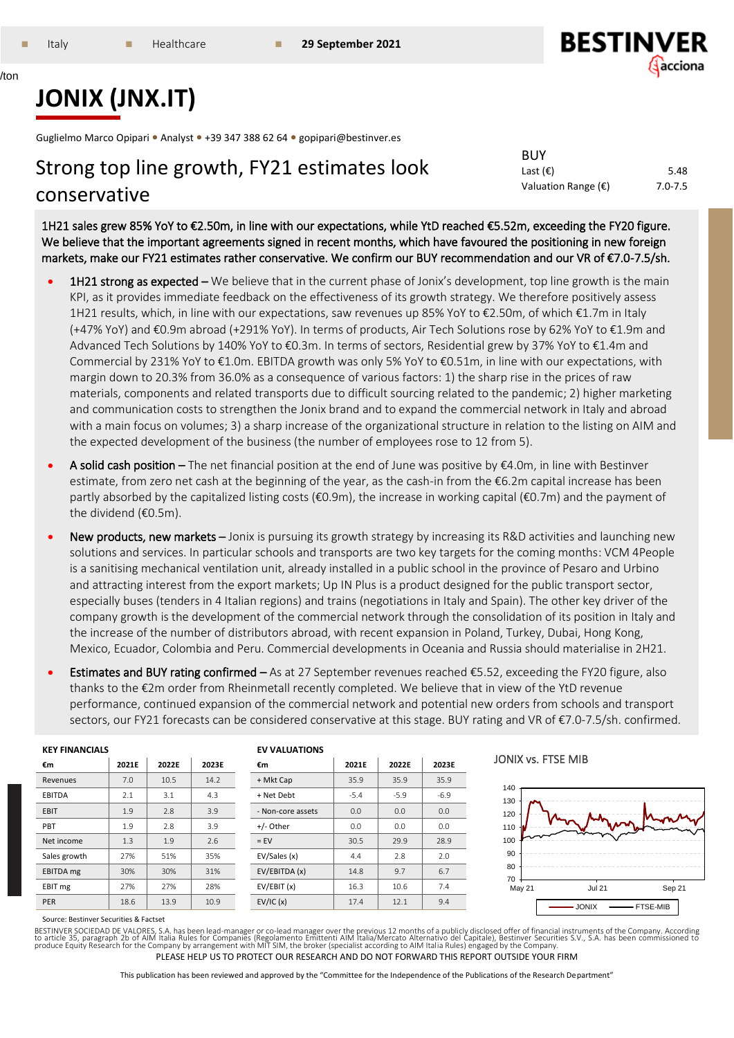/ton



Sep 21

- FTSE-MIB

# **JONIX (JNX.IT)**

Guglielmo Marco Opipari **•** Analyst **•** +39 347 388 62 64 **•** gopipari@bestinver.es

# Strong top line growth, FY21 estimates look conservative

Last  $(\epsilon)$  5.48 Valuation Range (€) 7.0-7.5

BUY

1H21 sales grew 85% YoY to €2.50m, in line with our expectations, while YtD reached €5.52m, exceeding the FY20 figure. We believe that the important agreements signed in recent months, which have favoured the positioning in new foreign markets, make our FY21 estimates rather conservative. We confirm our BUY recommendation and our VR of €7.0-7.5/sh.

- 1H21 strong as expected We believe that in the current phase of Jonix's development, top line growth is the main KPI, as it provides immediate feedback on the effectiveness of its growth strategy. We therefore positively assess 1H21 results, which, in line with our expectations, saw revenues up 85% YoY to €2.50m, of which €1.7m in Italy (+47% YoY) and €0.9m abroad (+291% YoY). In terms of products, Air Tech Solutions rose by 62% YoY to €1.9m and Advanced Tech Solutions by 140% YoY to €0.3m. In terms of sectors, Residential grew by 37% YoY to €1.4m and Commercial by 231% YoY to €1.0m. EBITDA growth was only 5% YoY to €0.51m, in line with our expectations, with margin down to 20.3% from 36.0% as a consequence of various factors: 1) the sharp rise in the prices of raw materials, components and related transports due to difficult sourcing related to the pandemic; 2) higher marketing and communication costs to strengthen the Jonix brand and to expand the commercial network in Italy and abroad with a main focus on volumes; 3) a sharp increase of the organizational structure in relation to the listing on AIM and the expected development of the business (the number of employees rose to 12 from 5).
- A solid cash position The net financial position at the end of June was positive by €4.0m, in line with Bestinver estimate, from zero net cash at the beginning of the year, as the cash-in from the €6.2m capital increase has been partly absorbed by the capitalized listing costs ( $\epsilon$ 0.9m), the increase in working capital ( $\epsilon$ 0.7m) and the payment of the dividend (€0.5m).
- New products, new markets Jonix is pursuing its growth strategy by increasing its R&D activities and launching new solutions and services. In particular schools and transports are two key targets for the coming months: VCM 4People is a sanitising mechanical ventilation unit, already installed in a public school in the province of Pesaro and Urbino and attracting interest from the export markets; Up IN Plus is a product designed for the public transport sector, especially buses (tenders in 4 Italian regions) and trains (negotiations in Italy and Spain). The other key driver of the company growth is the development of the commercial network through the consolidation of its position in Italy and the increase of the number of distributors abroad, with recent expansion in Poland, Turkey, Dubai, Hong Kong, Mexico, Ecuador, Colombia and Peru. Commercial developments in Oceania and Russia should materialise in 2H21.
- Estimates and BUY rating confirmed As at 27 September revenues reached €5.52, exceeding the FY20 figure, also thanks to the €2m order from Rheinmetall recently completed. We believe that in view of the YtD revenue performance, continued expansion of the commercial network and potential new orders from schools and transport sectors, our FY21 forecasts can be considered conservative at this stage. BUY rating and VR of €7.0-7.5/sh. confirmed.

| <b>KEY FINANCIALS</b> |       |       |       | <b>EV VALUATIONS</b> |        |        |        |                         |
|-----------------------|-------|-------|-------|----------------------|--------|--------|--------|-------------------------|
| €m                    | 2021E | 2022E | 2023E | €m                   | 2021E  | 2022E  | 2023E  | JONIX vs. FTSE MIB      |
| Revenues              | 7.0   | 10.5  | 14.2  | + Mkt Cap            | 35.9   | 35.9   | 35.9   |                         |
| <b>EBITDA</b>         | 2.1   | 3.1   | 4.3   | + Net Debt           | $-5.4$ | $-5.9$ | $-6.9$ | 140<br>130              |
| EBIT                  | 1.9   | 2.8   | 3.9   | - Non-core assets    | 0.0    | 0.0    | 0.0    | 120                     |
| PBT                   | 1.9   | 2.8   | 3.9   | +/- Other            | 0.0    | 0.0    | 0.0    | 110                     |
| Net income            | 1.3   | 1.9   | 2.6   | $=$ EV               | 30.5   | 29.9   | 28.9   | 100                     |
| Sales growth          | 27%   | 51%   | 35%   | EV/Sales (x)         | 4.4    | 2.8    | 2.0    | 90                      |
| EBITDA mg             | 30%   | 30%   | 31%   | EV/EBITDA (x)        | 14.8   | 9.7    | 6.7    | 80<br>70                |
| EBIT mg               | 27%   | 27%   | 28%   | EV/EBIT (x)          | 16.3   | 10.6   | 7.4    | <b>Jul 21</b><br>May 21 |
| <b>PER</b>            | 18.6  | 13.9  | 10.9  | EV/IC(x)             | 17.4   | 12.1   | 9.4    | $-$ JONIX               |

Source: Bestinver Securities & Factset

PLEASE HELP US TO PROTECT OUR RESEARCH AND DO NOT FORWARD THIS REPORT OUTSIDE YOUR FIRM BESTINVER SOCIEDAD DE VALORES, S.A. has been lead-manager or co-lead manager over the previous 12 months of a publicly disclosed offer of financial instruments of the Company. According<br>to article 35, paragraph 2b of AIM I

This publication has been reviewed and approved by the "Committee for the Independence of the Publications of the Research Department"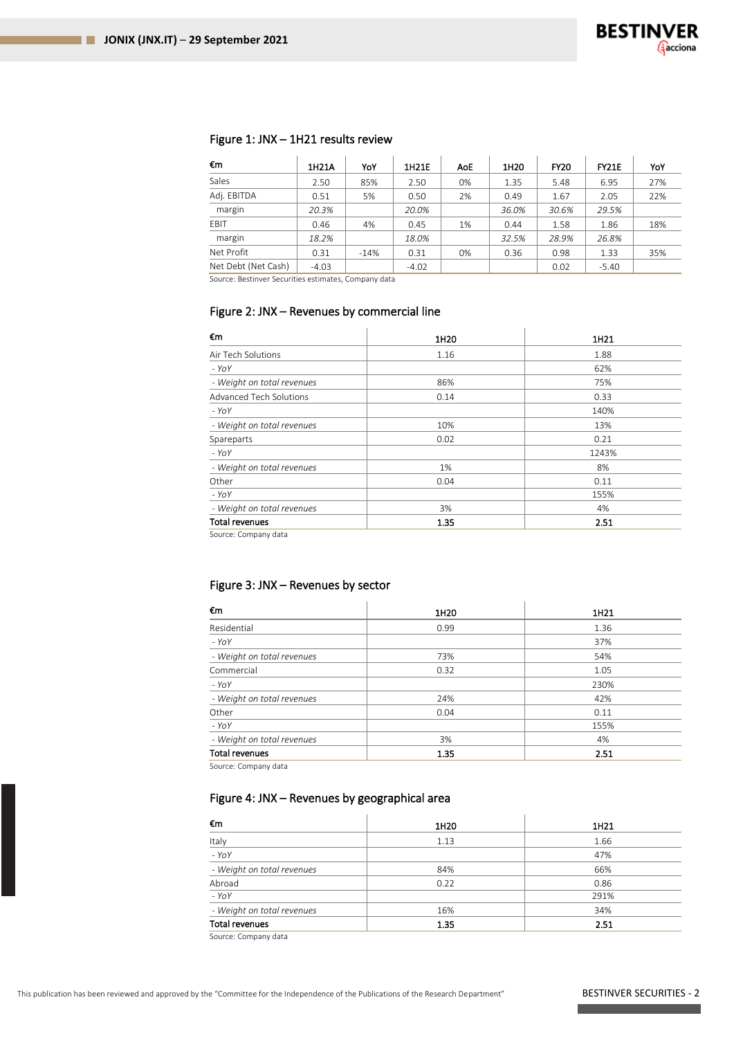# Figure 1: JNX – 1H21 results review

| €m                  | 1H21A   | YoY  | 1H21E   | AoE | 1H20  | <b>FY20</b> | <b>FY21E</b> | YoY |
|---------------------|---------|------|---------|-----|-------|-------------|--------------|-----|
| Sales               | 2.50    | 85%  | 2.50    | 0%  | 1.35  | 5.48        | 6.95         | 27% |
| Adj. EBITDA         | 0.51    | 5%   | 0.50    | 2%  | 0.49  | 1.67        | 2.05         | 22% |
| margin              | 20.3%   |      | 20.0%   |     | 36.0% | 30.6%       | 29.5%        |     |
| EBIT                | 0.46    | 4%   | 0.45    | 1%  | 0.44  | 1.58        | 1.86         | 18% |
| margin              | 18.2%   |      | 18.0%   |     | 32.5% | 28.9%       | 26.8%        |     |
| Net Profit          | 0.31    | -14% | 0.31    | 0%  | 0.36  | 0.98        | 1.33         | 35% |
| Net Debt (Net Cash) | $-4.03$ |      | $-4.02$ |     |       | 0.02        | $-5.40$      |     |

Source: Bestinver Securities estimates, Company data

# Figure 2: JNX – Revenues by commercial line

| €m                             | 1H <sub>20</sub> | 1H21  |
|--------------------------------|------------------|-------|
| Air Tech Solutions             | 1.16             | 1.88  |
| $-YoY$                         |                  | 62%   |
| - Weight on total revenues     | 86%              | 75%   |
| <b>Advanced Tech Solutions</b> | 0.14             | 0.33  |
| $-YoY$                         |                  | 140%  |
| - Weight on total revenues     | 10%              | 13%   |
| Spareparts                     | 0.02             | 0.21  |
| $-YOY$                         |                  | 1243% |
| - Weight on total revenues     | 1%               | 8%    |
| Other                          | 0.04             | 0.11  |
| $-YoY$                         |                  | 155%  |
| - Weight on total revenues     | 3%               | 4%    |
| <b>Total revenues</b>          | 1.35             | 2.51  |

Source: Company data

# Figure 3: JNX – Revenues by sector

| €m                                                                                                                                       | 1H20 | 1H21 |
|------------------------------------------------------------------------------------------------------------------------------------------|------|------|
| Residential                                                                                                                              | 0.99 | 1.36 |
| $-YoY$                                                                                                                                   |      | 37%  |
| - Weight on total revenues                                                                                                               | 73%  | 54%  |
| Commercial                                                                                                                               | 0.32 | 1.05 |
| $-YoY$                                                                                                                                   |      | 230% |
| - Weight on total revenues                                                                                                               | 24%  | 42%  |
| Other                                                                                                                                    | 0.04 | 0.11 |
| $-YoY$                                                                                                                                   |      | 155% |
| - Weight on total revenues                                                                                                               | 3%   | 4%   |
| <b>Total revenues</b><br>the contract of the contract of the contract of the contract of the contract of the contract of the contract of | 1.35 | 2.51 |

Source: Company data

# Figure 4: JNX – Revenues by geographical area

 $\mathcal{A}$ 

| 1H20 | 1H21 |
|------|------|
| 1.13 | 1.66 |
|      | 47%  |
| 84%  | 66%  |
| 0.22 | 0.86 |
|      | 291% |
| 16%  | 34%  |
| 1.35 | 2.51 |
|      |      |

Source: Company data

.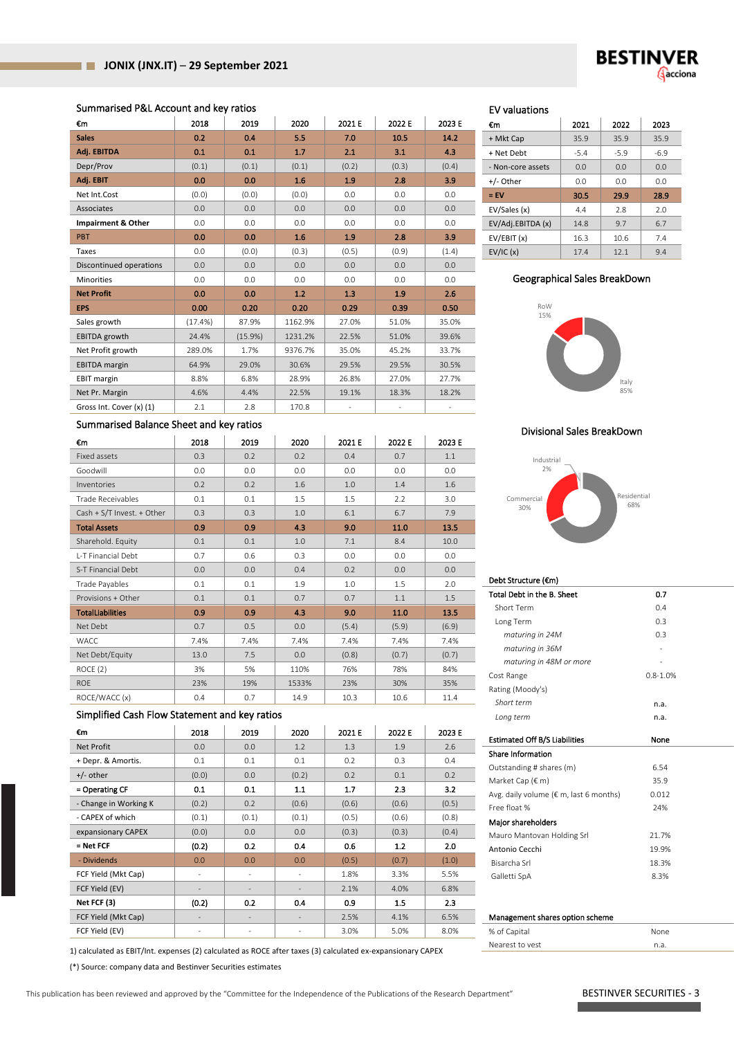#### Summarised P&L Account and key ratios

| €m                       | 2018    | 2019    | 2020    | 2021 E | 2022 E | 2023 E |
|--------------------------|---------|---------|---------|--------|--------|--------|
| <b>Sales</b>             | 0.2     | 0.4     | 5.5     | 7.0    | 10.5   | 14.2   |
| Adj. EBITDA              | 0.1     | 0.1     | 1.7     | 2.1    | 3.1    | 4.3    |
| Depr/Prov                | (0.1)   | (0.1)   | (0.1)   | (0.2)  | (0.3)  | (0.4)  |
| Adj. EBIT                | 0.0     | 0.0     | 1.6     | 1.9    | 2.8    | 3.9    |
| Net Int.Cost             | (0.0)   | (0.0)   | (0.0)   | 0.0    | 0.0    | 0.0    |
| Associates               | 0.0     | 0.0     | 0.0     | 0.0    | 0.0    | 0.0    |
| Impairment & Other       | 0.0     | 0.0     | 0.0     | 0.0    | 0.0    | 0.0    |
| <b>PBT</b>               | 0.0     | 0.0     | 1.6     | 1.9    | 2.8    | 3.9    |
| Taxes                    | 0.0     | (0.0)   | (0.3)   | (0.5)  | (0.9)  | (1.4)  |
| Discontinued operations  | 0.0     | 0.0     | 0.0     | 0.0    | 0.0    | 0.0    |
| <b>Minorities</b>        | 0.0     | 0.0     | 0.0     | 0.0    | 0.0    | 0.0    |
| <b>Net Profit</b>        | 0.0     | 0.0     | 1.2     | 1.3    | 1.9    | 2.6    |
| <b>EPS</b>               | 0.00    | 0.20    | 0.20    | 0.29   | 0.39   | 0.50   |
| Sales growth             | (17.4%) | 87.9%   | 1162.9% | 27.0%  | 51.0%  | 35.0%  |
| <b>EBITDA</b> growth     | 24.4%   | (15.9%) | 1231.2% | 22.5%  | 51.0%  | 39.6%  |
| Net Profit growth        | 289.0%  | 1.7%    | 9376.7% | 35.0%  | 45.2%  | 33.7%  |
| <b>EBITDA</b> margin     | 64.9%   | 29.0%   | 30.6%   | 29.5%  | 29.5%  | 30.5%  |
| <b>EBIT margin</b>       | 8.8%    | 6.8%    | 28.9%   | 26.8%  | 27.0%  | 27.7%  |
| Net Pr. Margin           | 4.6%    | 4.4%    | 22.5%   | 19.1%  | 18.3%  | 18.2%  |
| Gross Int. Cover (x) (1) | 2.1     | 2.8     | 170.8   |        |        |        |

# Summarised Balance Sheet and key ratios

| €m                         | 2018 | 2019 | 2020  | 2021 E | 2022 E | 2023 E |
|----------------------------|------|------|-------|--------|--------|--------|
| Fixed assets               | 0.3  | 0.2  | 0.2   | 0.4    | 0.7    | 1.1    |
| Goodwill                   | 0.0  | 0.0  | 0.0   | 0.0    | 0.0    | 0.0    |
| Inventories                | 0.2  | 0.2  | 1.6   | 1.0    | 1.4    | 1.6    |
| Trade Receivables          | 0.1  | 0.1  | 1.5   | 1.5    | 2.2    | 3.0    |
| Cash + S/T Invest. + Other | 0.3  | 0.3  | 1.0   | 6.1    | 6.7    | 7.9    |
| <b>Total Assets</b>        | 0.9  | 0.9  | 4.3   | 9.0    | 11.0   | 13.5   |
| Sharehold. Equity          | 0.1  | 0.1  | 1.0   | 7.1    | 8.4    | 10.0   |
| L-T Financial Debt         | 0.7  | 0.6  | 0.3   | 0.0    | 0.0    | 0.0    |
| S-T Financial Debt         | 0.0  | 0.0  | 0.4   | 0.2    | 0.0    | 0.0    |
| Trade Payables             | 0.1  | 0.1  | 1.9   | 1.0    | 1.5    | 2.0    |
| Provisions + Other         | 0.1  | 0.1  | 0.7   | 0.7    | 1.1    | 1.5    |
| <b>TotalLiabilities</b>    | 0.9  | 0.9  | 4.3   | 9.0    | 11.0   | 13.5   |
| Net Debt                   | 0.7  | 0.5  | 0.0   | (5.4)  | (5.9)  | (6.9)  |
| <b>WACC</b>                | 7.4% | 7.4% | 7.4%  | 7.4%   | 7.4%   | 7.4%   |
| Net Debt/Equity            | 13.0 | 7.5  | 0.0   | (0.8)  | (0.7)  | (0.7)  |
| ROCE(2)                    | 3%   | 5%   | 110%  | 76%    | 78%    | 84%    |
| <b>ROE</b>                 | 23%  | 19%  | 1533% | 23%    | 30%    | 35%    |
| ROCE/WACC (x)              | 0.4  | 0.7  | 14.9  | 10.3   | 10.6   | 11.4   |

#### Simplified Cash Flow Statement and key ratios

| €m                    | 2018                     | 2019     | 2020   | 2021 E | 2022 E | 2023 E |
|-----------------------|--------------------------|----------|--------|--------|--------|--------|
| Net Profit            | 0.0                      | 0.0      | 1.2    | 1.3    | 1.9    | 2.6    |
| + Depr. & Amortis.    | 0.1                      | 0.1      | 0.1    | 0.2    | 0.3    | 0.4    |
| $+/-$ other           | (0.0)                    | 0.0      | (0.2)  | 0.2    | 0.1    | 0.2    |
| = Operating CF        | 0.1                      | 0.1      | 1.1    | 1.7    | 2.3    | 3.2    |
| - Change in Working K | (0.2)                    | 0.2      | (0.6)  | (0.6)  | (0.6)  | (0.5)  |
| - CAPEX of which      | (0.1)                    | (0.1)    | (0.1)  | (0.5)  | (0.6)  | (0.8)  |
| expansionary CAPEX    | (0.0)                    | 0.0      | 0.0    | (0.3)  | (0.3)  | (0.4)  |
| = Net FCF             | (0.2)                    | 0.2      | 0.4    | 0.6    | 1.2    | 2.0    |
| - Dividends           | 0.0                      | 0.0      | 0.0    | (0.5)  | (0.7)  | (1.0)  |
| FCF Yield (Mkt Cap)   | $\overline{\phantom{a}}$ | $\equiv$ | $\sim$ | 1.8%   | 3.3%   | 5.5%   |
| FCF Yield (EV)        | ۰                        | -        |        | 2.1%   | 4.0%   | 6.8%   |
| Net FCF (3)           | (0.2)                    | 0.2      | 0.4    | 0.9    | 1.5    | 2.3    |
| FCF Yield (Mkt Cap)   |                          | ٠        |        | 2.5%   | 4.1%   | 6.5%   |
| FCF Yield (EV)        |                          | -        |        | 3.0%   | 5.0%   | 8.0%   |

1) calculated as EBIT/Int. expenses (2) calculated as ROCE after taxes (3) calculated ex-expansionary CAPEX

(\*) Source: company data and Bestinver Securities estimates

### EV valuations

| €m                | 2021   | 2022   | 2023   |
|-------------------|--------|--------|--------|
| + Mkt Cap         | 35.9   | 35.9   | 35.9   |
| + Net Debt        | $-5.4$ | $-5.9$ | $-6.9$ |
| - Non-core assets | 0.0    | 0.0    | 0.0    |
| +/- Other         | 0.0    | 0.0    | 0.0    |
|                   |        |        |        |
| $=$ EV            | 30.5   | 29.9   | 28.9   |
| EV/Sales (x)      | 4.4    | 2.8    | 2.0    |
| EV/Adj.EBITDA (x) | 14.8   | 9.7    | 6.7    |
| EV/EBIT (x)       | 16.3   | 10.6   | 7.4    |

#### Geographical Sales BreakDown



#### Divisional Sales BreakDown



#### Debt Structure (€m)

| Total Debt in the B. Sheet                       | 0.7          |  |
|--------------------------------------------------|--------------|--|
| Short Term                                       | 0.4          |  |
| Long Term                                        | 0.3          |  |
| maturing in 24M                                  | 0.3          |  |
| maturing in 36M                                  |              |  |
| maturing in 48M or more                          |              |  |
| Cost Range                                       | $0.8 - 1.0%$ |  |
| Rating (Moody's)                                 |              |  |
| Short term                                       | n.a.         |  |
| Long term                                        | n.a.         |  |
|                                                  |              |  |
| <b>Estimated Off B/S Liabilities</b>             | None         |  |
| Share Information                                |              |  |
| Outstanding # shares (m)                         | 6.54         |  |
| Market Cap (€ m)                                 | 35.9         |  |
| Avg. daily volume ( $\epsilon$ m, last 6 months) | 0.012        |  |
| Free float %                                     | 24%          |  |
| Major shareholders                               |              |  |
| Mauro Mantovan Holding Srl                       | 21.7%        |  |
| Antonio Cecchi                                   | 19.9%        |  |
| Bisarcha Srl                                     | 18.3%        |  |
| Galletti SpA                                     | 8.3%         |  |
|                                                  |              |  |
|                                                  |              |  |
| Management shares option scheme                  |              |  |
| % of Capital                                     | None         |  |
| Nearest to yest                                  | n.a.         |  |

This publication has been reviewed and approved by the "Committee for the Independence of the Publications of the Research Department" BESTINVER SECURITIES - 3

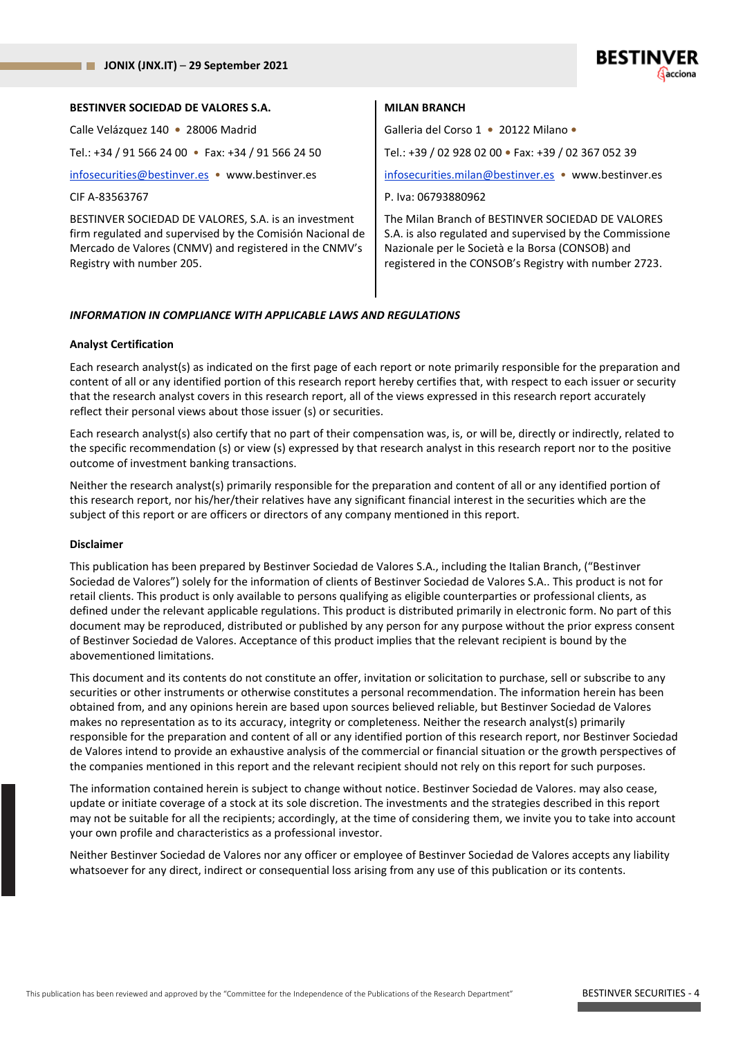| <b>BESTINVER SOCIEDAD DE VALORES S.A.</b>                                                                                                                                                                | <b>MILAN BRANCH</b>                                                                                                                                                                                                        |
|----------------------------------------------------------------------------------------------------------------------------------------------------------------------------------------------------------|----------------------------------------------------------------------------------------------------------------------------------------------------------------------------------------------------------------------------|
| Calle Velázquez 140 • 28006 Madrid                                                                                                                                                                       | Galleria del Corso 1 · 20122 Milano ·                                                                                                                                                                                      |
| Tel.: +34 / 91 566 24 00 • Fax: +34 / 91 566 24 50                                                                                                                                                       | Tel.: +39 / 02 928 02 00 • Fax: +39 / 02 367 052 39                                                                                                                                                                        |
| infosecurities@bestinver.es • www.bestinver.es                                                                                                                                                           | infosecurities.milan@bestinver.es • www.bestinver.es                                                                                                                                                                       |
| CIF A-83563767                                                                                                                                                                                           | P. Iva: 06793880962                                                                                                                                                                                                        |
| BESTINVER SOCIEDAD DE VALORES, S.A. is an investment<br>firm regulated and supervised by the Comisión Nacional de<br>Mercado de Valores (CNMV) and registered in the CNMV's<br>Registry with number 205. | The Milan Branch of BESTINVER SOCIEDAD DE VALORES<br>S.A. is also regulated and supervised by the Commissione<br>Nazionale per le Società e la Borsa (CONSOB) and<br>registered in the CONSOB's Registry with number 2723. |

#### *INFORMATION IN COMPLIANCE WITH APPLICABLE LAWS AND REGULATIONS*

#### **Analyst Certification**

Each research analyst(s) as indicated on the first page of each report or note primarily responsible for the preparation and content of all or any identified portion of this research report hereby certifies that, with respect to each issuer or security that the research analyst covers in this research report, all of the views expressed in this research report accurately reflect their personal views about those issuer (s) or securities.

Each research analyst(s) also certify that no part of their compensation was, is, or will be, directly or indirectly, related to the specific recommendation (s) or view (s) expressed by that research analyst in this research report nor to the positive outcome of investment banking transactions.

Neither the research analyst(s) primarily responsible for the preparation and content of all or any identified portion of this research report, nor his/her/their relatives have any significant financial interest in the securities which are the subject of this report or are officers or directors of any company mentioned in this report.

#### **Disclaimer**

This publication has been prepared by Bestinver Sociedad de Valores S.A., including the Italian Branch, ("Bestinver Sociedad de Valores") solely for the information of clients of Bestinver Sociedad de Valores S.A.. This product is not for retail clients. This product is only available to persons qualifying as eligible counterparties or professional clients, as defined under the relevant applicable regulations. This product is distributed primarily in electronic form. No part of this document may be reproduced, distributed or published by any person for any purpose without the prior express consent of Bestinver Sociedad de Valores. Acceptance of this product implies that the relevant recipient is bound by the abovementioned limitations.

This document and its contents do not constitute an offer, invitation or solicitation to purchase, sell or subscribe to any securities or other instruments or otherwise constitutes a personal recommendation. The information herein has been obtained from, and any opinions herein are based upon sources believed reliable, but Bestinver Sociedad de Valores makes no representation as to its accuracy, integrity or completeness. Neither the research analyst(s) primarily responsible for the preparation and content of all or any identified portion of this research report, nor Bestinver Sociedad de Valores intend to provide an exhaustive analysis of the commercial or financial situation or the growth perspectives of the companies mentioned in this report and the relevant recipient should not rely on this report for such purposes.

The information contained herein is subject to change without notice. Bestinver Sociedad de Valores. may also cease, update or initiate coverage of a stock at its sole discretion. The investments and the strategies described in this report may not be suitable for all the recipients; accordingly, at the time of considering them, we invite you to take into account your own profile and characteristics as a professional investor.

Neither Bestinver Sociedad de Valores nor any officer or employee of Bestinver Sociedad de Valores accepts any liability whatsoever for any direct, indirect or consequential loss arising from any use of this publication or its contents.